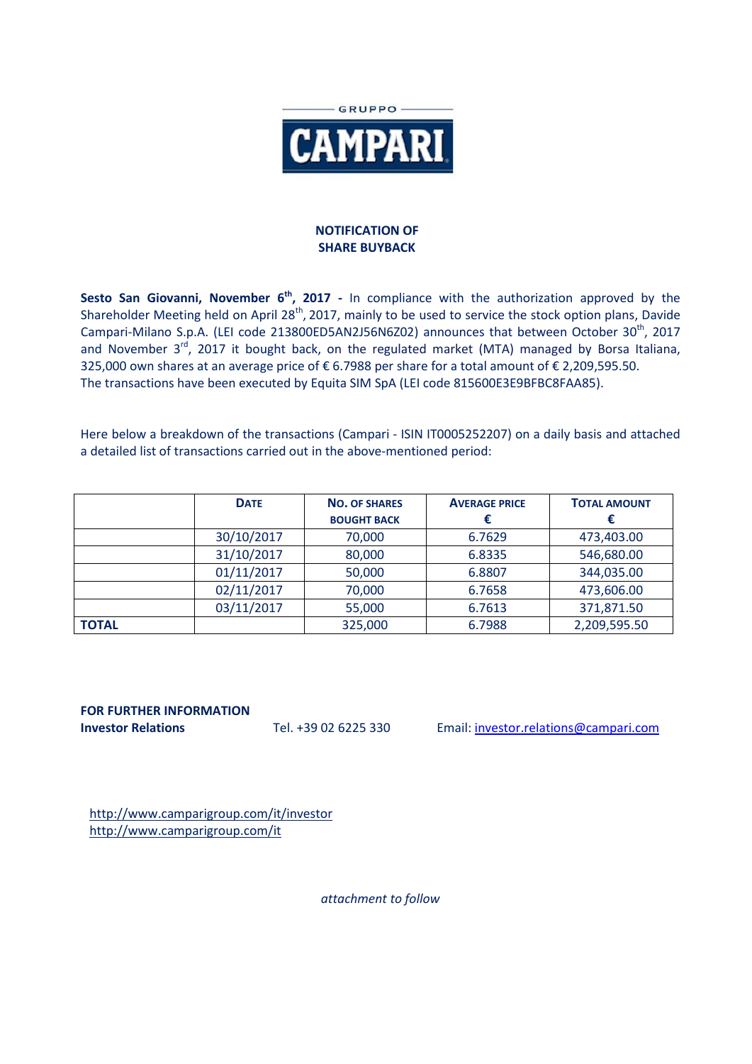

## **NOTIFICATION OF SHARE BUYBACK**

Sesto San Giovanni, November 6<sup>th</sup>, 2017 - In compliance with the authorization approved by the Shareholder Meeting held on April 28<sup>th</sup>, 2017, mainly to be used to service the stock option plans, Davide Campari-Milano S.p.A. (LEI code 213800ED5AN2J56N6Z02) announces that between October 30<sup>th</sup>, 2017 and November 3<sup>rd</sup>, 2017 it bought back, on the regulated market (MTA) managed by Borsa Italiana, 325,000 own shares at an average price of € 6.7988 per share for a total amount of € 2,209,595.50. The transactions have been executed by Equita SIM SpA (LEI code 815600E3E9BFBC8FAA85).

Here below a breakdown of the transactions (Campari - ISIN IT0005252207) on a daily basis and attached a detailed list of transactions carried out in the above-mentioned period:

|              | <b>DATE</b> | <b>NO. OF SHARES</b><br><b>BOUGHT BACK</b> | <b>AVERAGE PRICE</b> | <b>TOTAL AMOUNT</b> |
|--------------|-------------|--------------------------------------------|----------------------|---------------------|
|              | 30/10/2017  | 70,000                                     | 6.7629               | 473,403.00          |
|              | 31/10/2017  | 80,000                                     | 6.8335               | 546,680.00          |
|              | 01/11/2017  | 50,000                                     | 6.8807               | 344,035.00          |
|              | 02/11/2017  | 70,000                                     | 6.7658               | 473,606.00          |
|              | 03/11/2017  | 55,000                                     | 6.7613               | 371,871.50          |
| <b>TOTAL</b> |             | 325,000                                    | 6.7988               | 2,209,595.50        |

## **FOR FURTHER INFORMATION**

**Investor Relations** Tel. +39 02 6225 330 Email: investor.relations@campari.com

http://www.camparigroup.com/it/investor http://www.camparigroup.com/it

*attachment to follow*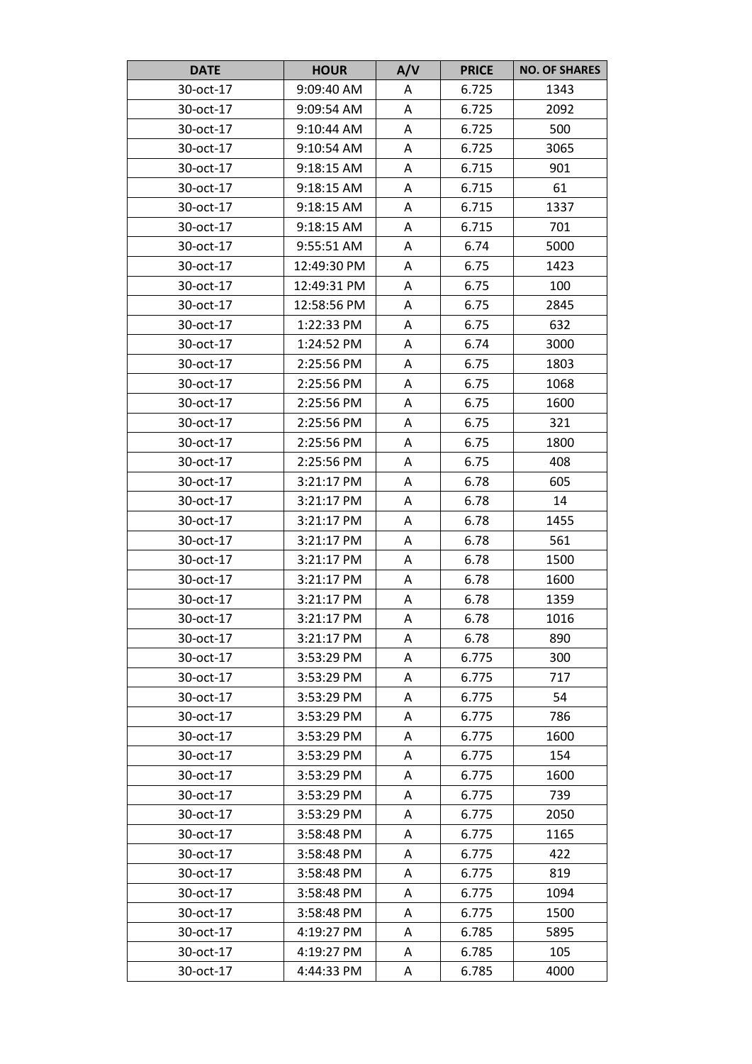| <b>DATE</b> | <b>HOUR</b>  | A/V | <b>PRICE</b> | <b>NO. OF SHARES</b> |
|-------------|--------------|-----|--------------|----------------------|
| 30-oct-17   | 9:09:40 AM   | Α   | 6.725        | 1343                 |
| 30-oct-17   | 9:09:54 AM   | Α   | 6.725        | 2092                 |
| 30-oct-17   | $9:10:44$ AM | A   | 6.725        | 500                  |
| 30-oct-17   | 9:10:54 AM   | A   | 6.725        | 3065                 |
| 30-oct-17   | 9:18:15 AM   | A   | 6.715        | 901                  |
| 30-oct-17   | 9:18:15 AM   | Α   | 6.715        | 61                   |
| 30-oct-17   | 9:18:15 AM   | A   | 6.715        | 1337                 |
| 30-oct-17   | 9:18:15 AM   | Α   | 6.715        | 701                  |
| 30-oct-17   | 9:55:51 AM   | A   | 6.74         | 5000                 |
| 30-oct-17   | 12:49:30 PM  | A   | 6.75         | 1423                 |
| 30-oct-17   | 12:49:31 PM  | A   | 6.75         | 100                  |
| 30-oct-17   | 12:58:56 PM  | A   | 6.75         | 2845                 |
| 30-oct-17   | 1:22:33 PM   | Α   | 6.75         | 632                  |
| 30-oct-17   | 1:24:52 PM   | A   | 6.74         | 3000                 |
| 30-oct-17   | 2:25:56 PM   | Α   | 6.75         | 1803                 |
| 30-oct-17   | 2:25:56 PM   | Α   | 6.75         | 1068                 |
| 30-oct-17   | 2:25:56 PM   | A   | 6.75         | 1600                 |
| 30-oct-17   | 2:25:56 PM   | Α   | 6.75         | 321                  |
| 30-oct-17   | 2:25:56 PM   | A   | 6.75         | 1800                 |
| 30-oct-17   | 2:25:56 PM   | A   | 6.75         | 408                  |
| 30-oct-17   | 3:21:17 PM   | Α   | 6.78         | 605                  |
| 30-oct-17   | 3:21:17 PM   | Α   | 6.78         | 14                   |
| 30-oct-17   | 3:21:17 PM   | А   | 6.78         | 1455                 |
| 30-oct-17   | 3:21:17 PM   | A   | 6.78         | 561                  |
| 30-oct-17   | 3:21:17 PM   | Α   | 6.78         | 1500                 |
| 30-oct-17   | 3:21:17 PM   | Α   | 6.78         | 1600                 |
| 30-oct-17   | 3:21:17 PM   | Α   | 6.78         | 1359                 |
| 30-oct-17   | 3:21:17 PM   | A   | 6.78         | 1016                 |
| 30-oct-17   | 3:21:17 PM   | Α   | 6.78         | 890                  |
| 30-oct-17   | 3:53:29 PM   | Α   | 6.775        | 300                  |
| 30-oct-17   | 3:53:29 PM   | A   | 6.775        | 717                  |
| 30-oct-17   | 3:53:29 PM   | Α   | 6.775        | 54                   |
| 30-oct-17   | 3:53:29 PM   | Α   | 6.775        | 786                  |
| 30-oct-17   | 3:53:29 PM   | Α   | 6.775        | 1600                 |
| 30-oct-17   | 3:53:29 PM   | А   | 6.775        | 154                  |
| 30-oct-17   | 3:53:29 PM   | Α   | 6.775        | 1600                 |
| 30-oct-17   | 3:53:29 PM   | Α   | 6.775        | 739                  |
| 30-oct-17   | 3:53:29 PM   | A   | 6.775        | 2050                 |
| 30-oct-17   | 3:58:48 PM   | A   | 6.775        | 1165                 |
| 30-oct-17   | 3:58:48 PM   | Α   | 6.775        | 422                  |
| 30-oct-17   | 3:58:48 PM   | Α   | 6.775        | 819                  |
| 30-oct-17   | 3:58:48 PM   | Α   | 6.775        | 1094                 |
| 30-oct-17   | 3:58:48 PM   | Α   | 6.775        | 1500                 |
| 30-oct-17   | 4:19:27 PM   | Α   | 6.785        | 5895                 |
| 30-oct-17   | 4:19:27 PM   | A   | 6.785        | 105                  |
| 30-oct-17   | 4:44:33 PM   | A   | 6.785        | 4000                 |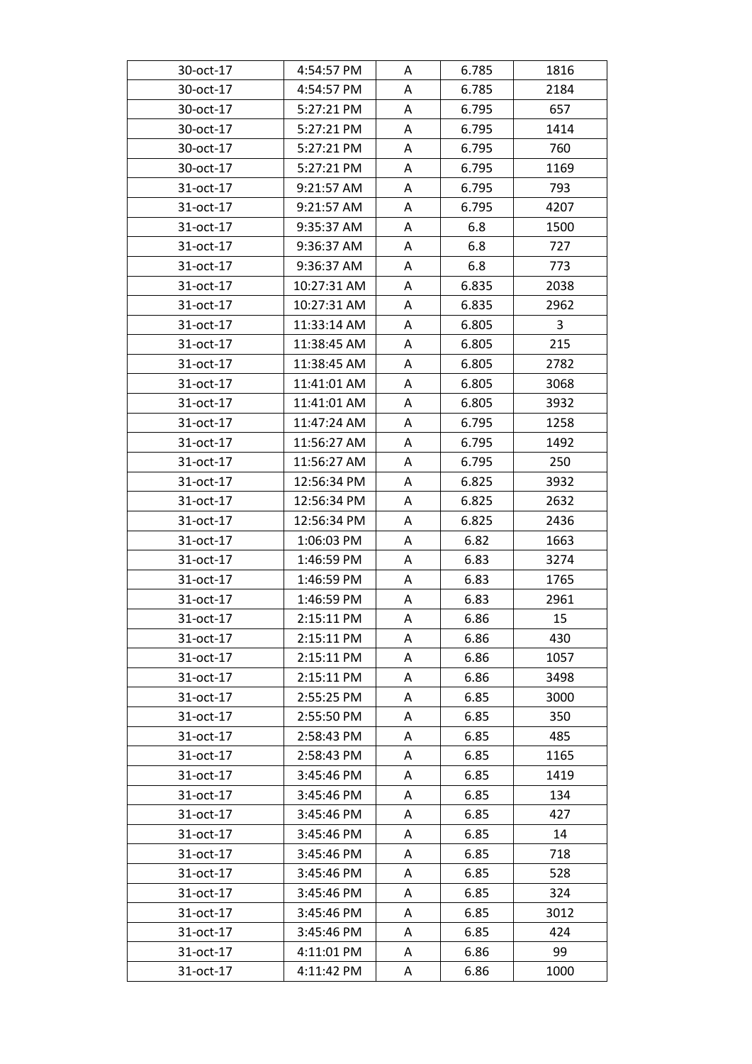| 30-oct-17 | 4:54:57 PM  | A | 6.785 | 1816 |
|-----------|-------------|---|-------|------|
| 30-oct-17 | 4:54:57 PM  | Α | 6.785 | 2184 |
| 30-oct-17 | 5:27:21 PM  | Α | 6.795 | 657  |
| 30-oct-17 | 5:27:21 PM  | Α | 6.795 | 1414 |
| 30-oct-17 | 5:27:21 PM  | Α | 6.795 | 760  |
| 30-oct-17 | 5:27:21 PM  | Α | 6.795 | 1169 |
| 31-oct-17 | 9:21:57 AM  | A | 6.795 | 793  |
| 31-oct-17 | 9:21:57 AM  | Α | 6.795 | 4207 |
| 31-oct-17 | 9:35:37 AM  | Α | 6.8   | 1500 |
| 31-oct-17 | 9:36:37 AM  | Α | 6.8   | 727  |
| 31-oct-17 | 9:36:37 AM  | Α | 6.8   | 773  |
| 31-oct-17 | 10:27:31 AM | Α | 6.835 | 2038 |
| 31-oct-17 | 10:27:31 AM | Α | 6.835 | 2962 |
| 31-oct-17 | 11:33:14 AM | Α | 6.805 | 3    |
| 31-oct-17 | 11:38:45 AM | A | 6.805 | 215  |
| 31-oct-17 | 11:38:45 AM | Α | 6.805 | 2782 |
| 31-oct-17 | 11:41:01 AM | Α | 6.805 | 3068 |
| 31-oct-17 | 11:41:01 AM | A | 6.805 | 3932 |
| 31-oct-17 | 11:47:24 AM | A | 6.795 | 1258 |
| 31-oct-17 | 11:56:27 AM | Α | 6.795 | 1492 |
| 31-oct-17 | 11:56:27 AM | A | 6.795 | 250  |
| 31-oct-17 | 12:56:34 PM | Α | 6.825 | 3932 |
| 31-oct-17 | 12:56:34 PM | Α | 6.825 | 2632 |
| 31-oct-17 | 12:56:34 PM | A | 6.825 | 2436 |
| 31-oct-17 | 1:06:03 PM  | A | 6.82  | 1663 |
| 31-oct-17 | 1:46:59 PM  | Α | 6.83  | 3274 |
| 31-oct-17 | 1:46:59 PM  | A | 6.83  | 1765 |
| 31-oct-17 | 1:46:59 PM  | Α | 6.83  | 2961 |
| 31-oct-17 | 2:15:11 PM  | Α | 6.86  | 15   |
| 31-oct-17 | 2:15:11 PM  | A | 6.86  | 430  |
| 31-oct-17 | 2:15:11 PM  | Α | 6.86  | 1057 |
| 31-oct-17 | 2:15:11 PM  | Α | 6.86  | 3498 |
| 31-oct-17 | 2:55:25 PM  | A | 6.85  | 3000 |
| 31-oct-17 | 2:55:50 PM  | Α | 6.85  | 350  |
| 31-oct-17 | 2:58:43 PM  | A | 6.85  | 485  |
| 31-oct-17 | 2:58:43 PM  | Α | 6.85  | 1165 |
| 31-oct-17 | 3:45:46 PM  | Α | 6.85  | 1419 |
| 31-oct-17 | 3:45:46 PM  | Α | 6.85  | 134  |
| 31-oct-17 | 3:45:46 PM  | A | 6.85  | 427  |
| 31-oct-17 | 3:45:46 PM  | A | 6.85  | 14   |
| 31-oct-17 | 3:45:46 PM  | Α | 6.85  | 718  |
| 31-oct-17 | 3:45:46 PM  | A | 6.85  | 528  |
| 31-oct-17 | 3:45:46 PM  | A | 6.85  | 324  |
| 31-oct-17 | 3:45:46 PM  | Α | 6.85  | 3012 |
| 31-oct-17 | 3:45:46 PM  | Α | 6.85  | 424  |
| 31-oct-17 | 4:11:01 PM  | Α | 6.86  | 99   |
| 31-oct-17 | 4:11:42 PM  | A | 6.86  | 1000 |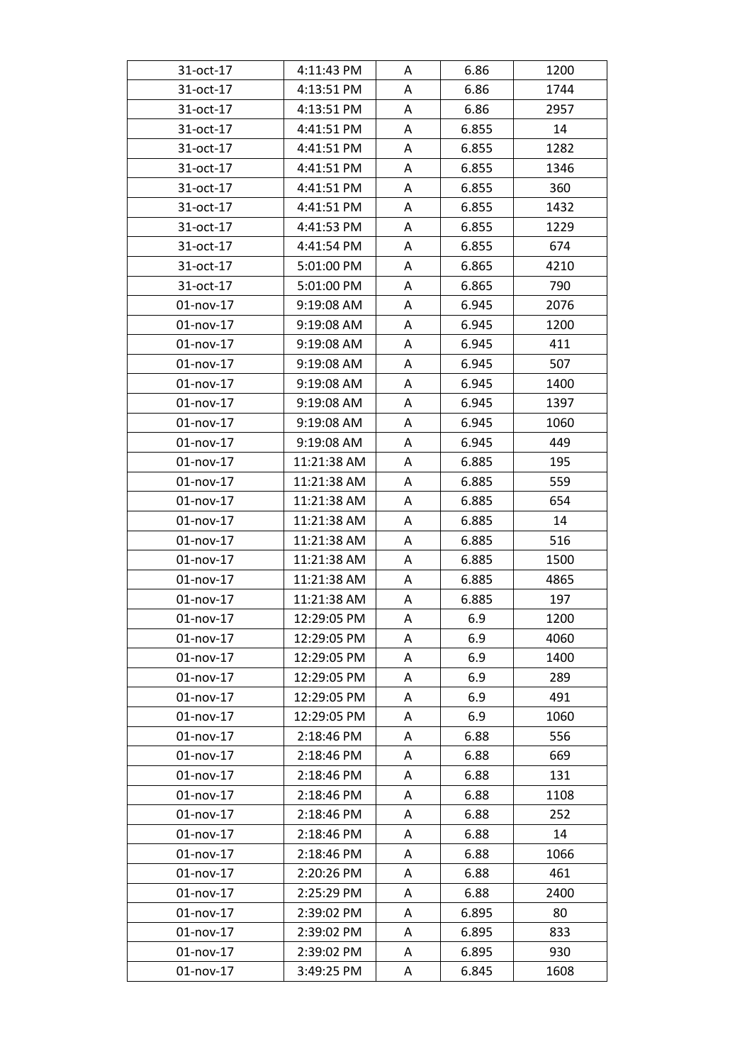| 31-oct-17    | 4:11:43 PM  | A | 6.86  | 1200 |
|--------------|-------------|---|-------|------|
| 31-oct-17    | 4:13:51 PM  | Α | 6.86  | 1744 |
| 31-oct-17    | 4:13:51 PM  | Α | 6.86  | 2957 |
| 31-oct-17    | 4:41:51 PM  | Α | 6.855 | 14   |
| 31-oct-17    | 4:41:51 PM  | Α | 6.855 | 1282 |
| 31-oct-17    | 4:41:51 PM  | Α | 6.855 | 1346 |
| 31-oct-17    | 4:41:51 PM  | A | 6.855 | 360  |
| 31-oct-17    | 4:41:51 PM  | Α | 6.855 | 1432 |
| 31-oct-17    | 4:41:53 PM  | Α | 6.855 | 1229 |
| 31-oct-17    | 4:41:54 PM  | Α | 6.855 | 674  |
| 31-oct-17    | 5:01:00 PM  | Α | 6.865 | 4210 |
| 31-oct-17    | 5:01:00 PM  | Α | 6.865 | 790  |
| $01$ -nov-17 | 9:19:08 AM  | Α | 6.945 | 2076 |
| 01-nov-17    | 9:19:08 AM  | Α | 6.945 | 1200 |
| $01$ -nov-17 | 9:19:08 AM  | A | 6.945 | 411  |
| $01$ -nov-17 | 9:19:08 AM  | Α | 6.945 | 507  |
| 01-nov-17    | 9:19:08 AM  | Α | 6.945 | 1400 |
| $01$ -nov-17 | 9:19:08 AM  | A | 6.945 | 1397 |
| 01-nov-17    | 9:19:08 AM  | Α | 6.945 | 1060 |
| $01$ -nov-17 | 9:19:08 AM  | Α | 6.945 | 449  |
| $01$ -nov-17 | 11:21:38 AM | A | 6.885 | 195  |
| $01$ -nov-17 | 11:21:38 AM | Α | 6.885 | 559  |
| 01-nov-17    | 11:21:38 AM | Α | 6.885 | 654  |
| 01-nov-17    | 11:21:38 AM | Α | 6.885 | 14   |
| $01$ -nov-17 | 11:21:38 AM | A | 6.885 | 516  |
| 01-nov-17    | 11:21:38 AM | Α | 6.885 | 1500 |
| $01$ -nov-17 | 11:21:38 AM | A | 6.885 | 4865 |
| $01$ -nov-17 | 11:21:38 AM | Α | 6.885 | 197  |
| 01-nov-17    | 12:29:05 PM | A | 6.9   | 1200 |
| 01-nov-17    | 12:29:05 PM | A | 6.9   | 4060 |
| 01-nov-17    | 12:29:05 PM | Α | 6.9   | 1400 |
| 01-nov-17    | 12:29:05 PM | Α | 6.9   | 289  |
| $01$ -nov-17 | 12:29:05 PM | A | 6.9   | 491  |
| 01-nov-17    | 12:29:05 PM | Α | 6.9   | 1060 |
| 01-nov-17    | 2:18:46 PM  | A | 6.88  | 556  |
| 01-nov-17    | 2:18:46 PM  | Α | 6.88  | 669  |
| 01-nov-17    | 2:18:46 PM  | Α | 6.88  | 131  |
| 01-nov-17    | 2:18:46 PM  | Α | 6.88  | 1108 |
| 01-nov-17    | 2:18:46 PM  | Α | 6.88  | 252  |
| $01$ -nov-17 | 2:18:46 PM  | A | 6.88  | 14   |
| 01-nov-17    | 2:18:46 PM  | Α | 6.88  | 1066 |
| $01$ -nov-17 | 2:20:26 PM  | A | 6.88  | 461  |
| 01-nov-17    | 2:25:29 PM  | Α | 6.88  | 2400 |
| 01-nov-17    | 2:39:02 PM  | Α | 6.895 | 80   |
| 01-nov-17    | 2:39:02 PM  | Α | 6.895 | 833  |
| 01-nov-17    | 2:39:02 PM  | Α | 6.895 | 930  |
| 01-nov-17    | 3:49:25 PM  | A | 6.845 | 1608 |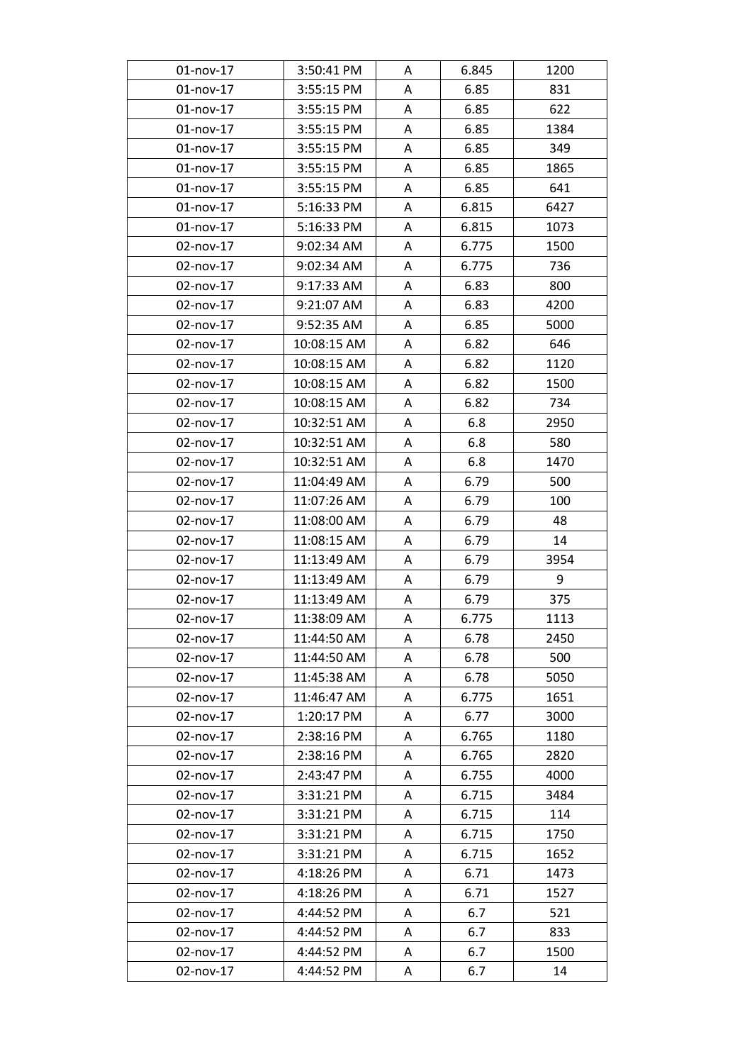| $01$ -nov-17 | 3:50:41 PM  | A | 6.845 | 1200 |
|--------------|-------------|---|-------|------|
| 01-nov-17    | 3:55:15 PM  | A | 6.85  | 831  |
| 01-nov-17    | 3:55:15 PM  | A | 6.85  | 622  |
| $01$ -nov-17 | 3:55:15 PM  | Α | 6.85  | 1384 |
| 01-nov-17    | 3:55:15 PM  | Α | 6.85  | 349  |
| $01$ -nov-17 | 3:55:15 PM  | A | 6.85  | 1865 |
| 01-nov-17    | 3:55:15 PM  | A | 6.85  | 641  |
| 01-nov-17    | 5:16:33 PM  | Α | 6.815 | 6427 |
| 01-nov-17    | 5:16:33 PM  | A | 6.815 | 1073 |
| 02-nov-17    | 9:02:34 AM  | A | 6.775 | 1500 |
| 02-nov-17    | 9:02:34 AM  | A | 6.775 | 736  |
| 02-nov-17    | 9:17:33 AM  | A | 6.83  | 800  |
| 02-nov-17    | 9:21:07 AM  | A | 6.83  | 4200 |
| 02-nov-17    | 9:52:35 AM  | Α | 6.85  | 5000 |
| 02-nov-17    | 10:08:15 AM | A | 6.82  | 646  |
| 02-nov-17    | 10:08:15 AM | A | 6.82  | 1120 |
| 02-nov-17    | 10:08:15 AM | A | 6.82  | 1500 |
| 02-nov-17    | 10:08:15 AM | A | 6.82  | 734  |
| 02-nov-17    | 10:32:51 AM | A | 6.8   | 2950 |
| 02-nov-17    | 10:32:51 AM | A | 6.8   | 580  |
| 02-nov-17    | 10:32:51 AM | A | 6.8   | 1470 |
| 02-nov-17    | 11:04:49 AM | A | 6.79  | 500  |
| 02-nov-17    | 11:07:26 AM | A | 6.79  | 100  |
| 02-nov-17    | 11:08:00 AM | A | 6.79  | 48   |
| 02-nov-17    | 11:08:15 AM | Α | 6.79  | 14   |
| 02-nov-17    | 11:13:49 AM | Α | 6.79  | 3954 |
| 02-nov-17    | 11:13:49 AM | A | 6.79  | 9    |
| 02-nov-17    | 11:13:49 AM | A | 6.79  | 375  |
| 02-nov-17    | 11:38:09 AM | A | 6.775 | 1113 |
| 02-nov-17    | 11:44:50 AM | A | 6.78  | 2450 |
| 02-nov-17    | 11:44:50 AM | Α | 6.78  | 500  |
| 02-nov-17    | 11:45:38 AM | A | 6.78  | 5050 |
| 02-nov-17    | 11:46:47 AM | A | 6.775 | 1651 |
| 02-nov-17    | 1:20:17 PM  | A | 6.77  | 3000 |
| 02-nov-17    | 2:38:16 PM  | A | 6.765 | 1180 |
| 02-nov-17    | 2:38:16 PM  | Α | 6.765 | 2820 |
| 02-nov-17    | 2:43:47 PM  | A | 6.755 | 4000 |
| 02-nov-17    | 3:31:21 PM  | A | 6.715 | 3484 |
| 02-nov-17    | 3:31:21 PM  | A | 6.715 | 114  |
| 02-nov-17    | 3:31:21 PM  | A | 6.715 | 1750 |
| 02-nov-17    | 3:31:21 PM  | A | 6.715 | 1652 |
| 02-nov-17    | 4:18:26 PM  | A | 6.71  | 1473 |
| 02-nov-17    | 4:18:26 PM  | Α | 6.71  | 1527 |
| 02-nov-17    | 4:44:52 PM  | Α | 6.7   | 521  |
| 02-nov-17    | 4:44:52 PM  | A | 6.7   | 833  |
| 02-nov-17    | 4:44:52 PM  | Α | 6.7   | 1500 |
| 02-nov-17    | 4:44:52 PM  | A | 6.7   | 14   |